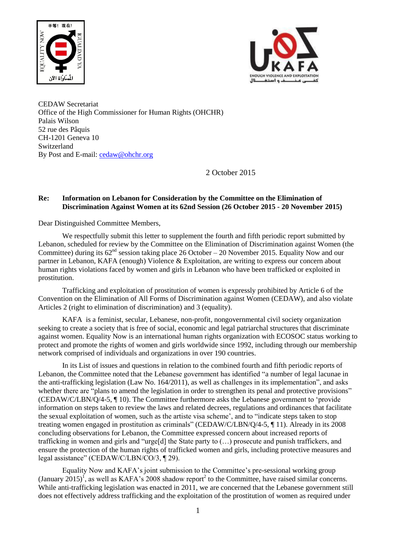



CEDAW Secretariat Office of the High Commissioner for Human Rights (OHCHR) Palais Wilson 52 rue des Pâquis CH-1201 Geneva 10 Switzerland By Post and E-mail: [cedaw@ohchr.org](mailto:cedaw@ohchr.org)

2 October 2015

# **Re: Information on Lebanon for Consideration by the Committee on the Elimination of Discrimination Against Women at its 62nd Session (26 October 2015 - 20 November 2015)**

Dear Distinguished Committee Members,

We respectfully submit this letter to supplement the fourth and fifth periodic report submitted by Lebanon, scheduled for review by the Committee on the Elimination of Discrimination against Women (the Committee) during its  $62<sup>nd</sup>$  session taking place 26 October – 20 November 2015. Equality Now and our partner in Lebanon, KAFA (enough) Violence & Exploitation, are writing to express our concern about human rights violations faced by women and girls in Lebanon who have been trafficked or exploited in prostitution.

Trafficking and exploitation of prostitution of women is expressly prohibited by Article 6 of the Convention on the Elimination of All Forms of Discrimination against Women (CEDAW), and also violate Articles 2 (right to elimination of discrimination) and 3 (equality).

KAFA is a feminist, secular, Lebanese, non-profit, nongovernmental civil society organization seeking to create a society that is free of social, economic and legal patriarchal structures that discriminate against women. Equality Now is an international human rights organization with ECOSOC status working to protect and promote the rights of women and girls worldwide since 1992, including through our membership network comprised of individuals and organizations in over 190 countries.

In its List of issues and questions in relation to the combined fourth and fifth periodic reports of Lebanon, the Committee noted that the Lebanese government has identified "a number of legal lacunae in the anti-trafficking legislation (Law No. 164/2011), as well as challenges in its implementation", and asks whether there are "plans to amend the legislation in order to strengthen its penal and protective provisions" (CEDAW/C/LBN/Q/4-5, ¶ 10). The Committee furthermore asks the Lebanese government to 'provide information on steps taken to review the laws and related decrees, regulations and ordinances that facilitate the sexual exploitation of women, such as the artiste visa scheme', and to "indicate steps taken to stop treating women engaged in prostitution as criminals" (CEDAW/C/LBN/Q/4-5, ¶ 11). Already in its 2008 concluding observations for Lebanon, the Committee expressed concern about increased reports of trafficking in women and girls and "urge[d] the State party to (…) prosecute and punish traffickers, and ensure the protection of the human rights of trafficked women and girls, including protective measures and legal assistance" (CEDAW/C/LBN/CO/3, ¶ 29).

Equality Now and KAFA's joint submission to the Committee's pre-sessional working group (January  $2015$ )<sup>T</sup>, as well as KAFA's 2008 shadow report<sup>2</sup> to the Committee, have raised similar concerns. While anti-trafficking legislation was enacted in 2011, we are concerned that the Lebanese government still does not effectively address trafficking and the exploitation of the prostitution of women as required under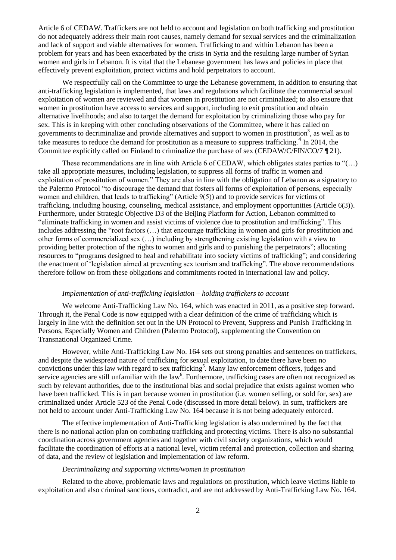Article 6 of CEDAW. Traffickers are not held to account and legislation on both trafficking and prostitution do not adequately address their main root causes, namely demand for sexual services and the criminalization and lack of support and viable alternatives for women. Trafficking to and within Lebanon has been a problem for years and has been exacerbated by the crisis in Syria and the resulting large number of Syrian women and girls in Lebanon. It is vital that the Lebanese government has laws and policies in place that effectively prevent exploitation, protect victims and hold perpetrators to account.

We respectfully call on the Committee to urge the Lebanese government, in addition to ensuring that anti-trafficking legislation is implemented, that laws and regulations which facilitate the commercial sexual exploitation of women are reviewed and that women in prostitution are not criminalized; to also ensure that women in prostitution have access to services and support, including to exit prostitution and obtain alternative livelihoods; and also to target the demand for exploitation by criminalizing those who pay for sex. This is in keeping with other concluding observations of the Committee, where it has called on governments to decriminalize and provide alternatives and support to women in prostitution<sup>3</sup>, as well as to take measures to reduce the demand for prostitution as a measure to suppress trafficking. $4 \text{ In } 2014$ , the Committee explicitly called on Finland to criminalize the purchase of sex (CEDAW/C/FIN/CO/7 ¶ 21).

These recommendations are in line with Article 6 of CEDAW, which obligates states parties to "(…) take all appropriate measures, including legislation, to suppress all forms of traffic in women and exploitation of prostitution of women." They are also in line with the obligation of Lebanon as a signatory to the Palermo Protocol "to discourage the demand that fosters all forms of exploitation of persons, especially women and children, that leads to trafficking" (Article 9(5)) and to provide services for victims of trafficking, including housing, counseling, medical assistance, and employment opportunities (Article 6(3)). Furthermore, under Strategic Objective D3 of the Beijing Platform for Action, Lebanon committed to "eliminate trafficking in women and assist victims of violence due to prostitution and trafficking". This includes addressing the "root factors (…) that encourage trafficking in women and girls for prostitution and other forms of commercialized sex (…) including by strengthening existing legislation with a view to providing better protection of the rights to women and girls and to punishing the perpetrators"; allocating resources to "programs designed to heal and rehabilitate into society victims of trafficking"; and considering the enactment of 'legislation aimed at preventing sex tourism and trafficking". The above recommendations therefore follow on from these obligations and commitments rooted in international law and policy.

#### *Implementation of anti-trafficking legislation – holding traffickers to account*

We welcome Anti-Trafficking Law No. 164, which was enacted in 2011, as a positive step forward. Through it, the Penal Code is now equipped with a clear definition of the crime of trafficking which is largely in line with the definition set out in the UN Protocol to Prevent, Suppress and Punish Trafficking in Persons, Especially Women and Children (Palermo Protocol), supplementing the Convention on Transnational Organized Crime.

However, while Anti-Trafficking Law No. 164 sets out strong penalties and sentences on traffickers, and despite the widespread nature of trafficking for sexual exploitation, to date there have been no convictions under this law with regard to sex trafficking 5 . Many law enforcement officers, judges and service agencies are still unfamiliar with the law<sup>6</sup>. Furthermore, trafficking cases are often not recognized as such by relevant authorities, due to the institutional bias and social prejudice that exists against women who have been trafficked. This is in part because women in prostitution (i.e. women selling, or sold for, sex) are criminalized under Article 523 of the Penal Code (discussed in more detail below). In sum, traffickers are not held to account under Anti-Trafficking Law No. 164 because it is not being adequately enforced.

The effective implementation of Anti-Trafficking legislation is also undermined by the fact that there is no national action plan on combating trafficking and protecting victims. There is also no substantial coordination across government agencies and together with civil society organizations, which would facilitate the coordination of efforts at a national level, victim referral and protection, collection and sharing of data, and the review of legislation and implementation of law reform.

### *Decriminalizing and supporting victims/women in prostitution*

Related to the above, problematic laws and regulations on prostitution, which leave victims liable to exploitation and also criminal sanctions, contradict, and are not addressed by Anti-Trafficking Law No. 164.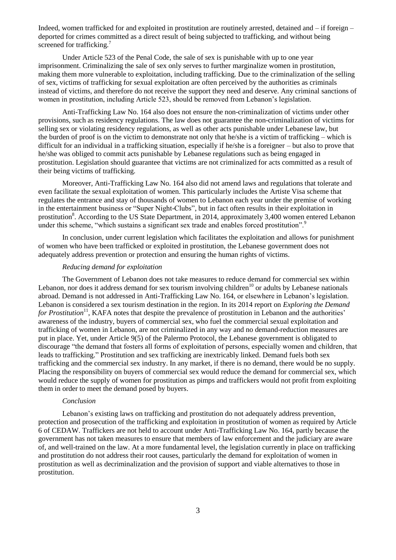Indeed, women trafficked for and exploited in prostitution are routinely arrested, detained and – if foreign – deported for crimes committed as a direct result of being subjected to trafficking, and without being screened for trafficking.<sup>7</sup>

Under Article 523 of the Penal Code, the sale of sex is punishable with up to one year imprisonment. Criminalizing the sale of sex only serves to further marginalize women in prostitution, making them more vulnerable to exploitation, including trafficking. Due to the criminalization of the selling of sex, victims of trafficking for sexual exploitation are often perceived by the authorities as criminals instead of victims, and therefore do not receive the support they need and deserve. Any criminal sanctions of women in prostitution, including Article 523, should be removed from Lebanon's legislation.

Anti-Trafficking Law No. 164 also does not ensure the non-criminalization of victims under other provisions, such as residency regulations. The law does not guarantee the non-criminalization of victims for selling sex or violating residency regulations, as well as other acts punishable under Lebanese law, but the burden of proof is on the victim to demonstrate not only that he/she is a victim of trafficking – which is difficult for an individual in a trafficking situation, especially if he/she is a foreigner – but also to prove that he/she was obliged to commit acts punishable by Lebanese regulations such as being engaged in prostitution. Legislation should guarantee that victims are not criminalized for acts committed as a result of their being victims of trafficking.

Moreover, Anti-Trafficking Law No. 164 also did not amend laws and regulations that tolerate and even facilitate the sexual exploitation of women. This particularly includes the Artiste Visa scheme that regulates the entrance and stay of thousands of women to Lebanon each year under the premise of working in the entertainment business or "Super Night-Clubs", but in fact often results in their exploitation in prostitution<sup>8</sup>. According to the US State Department, in 2014, approximately 3,400 women entered Lebanon under this scheme, "which sustains a significant sex trade and enables forced prostitution".<sup>9</sup>

In conclusion, under current legislation which facilitates the exploitation and allows for punishment of women who have been trafficked or exploited in prostitution, the Lebanese government does not adequately address prevention or protection and ensuring the human rights of victims.

### *Reducing demand for exploitation*

The Government of Lebanon does not take measures to reduce demand for commercial sex within Lebanon, nor does it address demand for sex tourism involving children<sup>10</sup> or adults by Lebanese nationals abroad. Demand is not addressed in Anti-Trafficking Law No. 164, or elsewhere in Lebanon's legislation. Lebanon is considered a sex tourism destination in the region. In its 2014 report on *Exploring the Demand*  for Prostitution<sup>11</sup>, KAFA notes that despite the prevalence of prostitution in Lebanon and the authorities' awareness of the industry, buyers of commercial sex, who fuel the commercial sexual exploitation and trafficking of women in Lebanon, are not criminalized in any way and no demand-reduction measures are put in place. Yet, under Article 9(5) of the Palermo Protocol, the Lebanese government is obligated to discourage "the demand that fosters all forms of exploitation of persons, especially women and children, that leads to trafficking." Prostitution and sex trafficking are inextricably linked. Demand fuels both sex trafficking and the commercial sex industry. In any market, if there is no demand, there would be no supply. Placing the responsibility on buyers of commercial sex would reduce the demand for commercial sex, which would reduce the supply of women for prostitution as pimps and traffickers would not profit from exploiting them in order to meet the demand posed by buyers.

#### *Conclusion*

Lebanon's existing laws on trafficking and prostitution do not adequately address prevention, protection and prosecution of the trafficking and exploitation in prostitution of women as required by Article 6 of CEDAW. Traffickers are not held to account under Anti-Trafficking Law No. 164, partly because the government has not taken measures to ensure that members of law enforcement and the judiciary are aware of, and well-trained on the law. At a more fundamental level, the legislation currently in place on trafficking and prostitution do not address their root causes, particularly the demand for exploitation of women in prostitution as well as decriminalization and the provision of support and viable alternatives to those in prostitution.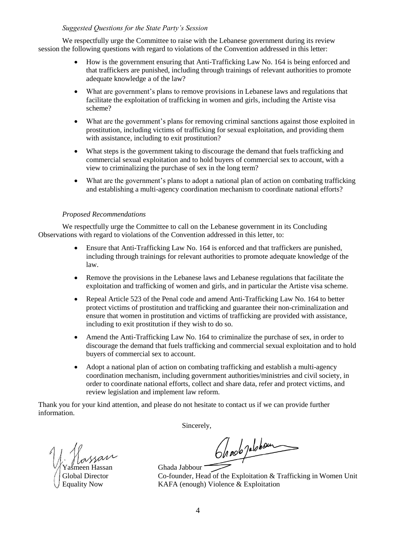## *Suggested Questions for the State Party's Session*

We respectfully urge the Committee to raise with the Lebanese government during its review session the following questions with regard to violations of the Convention addressed in this letter:

- How is the government ensuring that Anti-Trafficking Law No. 164 is being enforced and that traffickers are punished, including through trainings of relevant authorities to promote adequate knowledge a of the law?
- What are government's plans to remove provisions in Lebanese laws and regulations that facilitate the exploitation of trafficking in women and girls, including the Artiste visa scheme?
- What are the government's plans for removing criminal sanctions against those exploited in prostitution, including victims of trafficking for sexual exploitation, and providing them with assistance, including to exit prostitution?
- What steps is the government taking to discourage the demand that fuels trafficking and commercial sexual exploitation and to hold buyers of commercial sex to account, with a view to criminalizing the purchase of sex in the long term?
- What are the government's plans to adopt a national plan of action on combating trafficking and establishing a multi-agency coordination mechanism to coordinate national efforts?

# *Proposed Recommendations*

We respectfully urge the Committee to call on the Lebanese government in its Concluding Observations with regard to violations of the Convention addressed in this letter, to:

- Ensure that Anti-Trafficking Law No. 164 is enforced and that traffickers are punished, including through trainings for relevant authorities to promote adequate knowledge of the law.
- Remove the provisions in the Lebanese laws and Lebanese regulations that facilitate the exploitation and trafficking of women and girls, and in particular the Artiste visa scheme.
- Repeal Article 523 of the Penal code and amend Anti-Trafficking Law No. 164 to better protect victims of prostitution and trafficking and guarantee their non-criminalization and ensure that women in prostitution and victims of trafficking are provided with assistance, including to exit prostitution if they wish to do so.
- Amend the Anti-Trafficking Law No. 164 to criminalize the purchase of sex, in order to discourage the demand that fuels trafficking and commercial sexual exploitation and to hold buyers of commercial sex to account.
- Adopt a national plan of action on combating trafficking and establish a multi-agency coordination mechanism, including government authorities/ministries and civil society, in order to coordinate national efforts, collect and share data, refer and protect victims, and review legislation and implement law reform.

Thank you for your kind attention, and please do not hesitate to contact us if we can provide further information.

Sincerely,

meen Hassan Ghada Jabbour

On not jablour

Global Director Co-founder, Head of the Exploitation & Trafficking in Women Unit<br>Equality Now KAFA (enough) Violence & Exploitation KAFA (enough) Violence  $&$  Exploitation